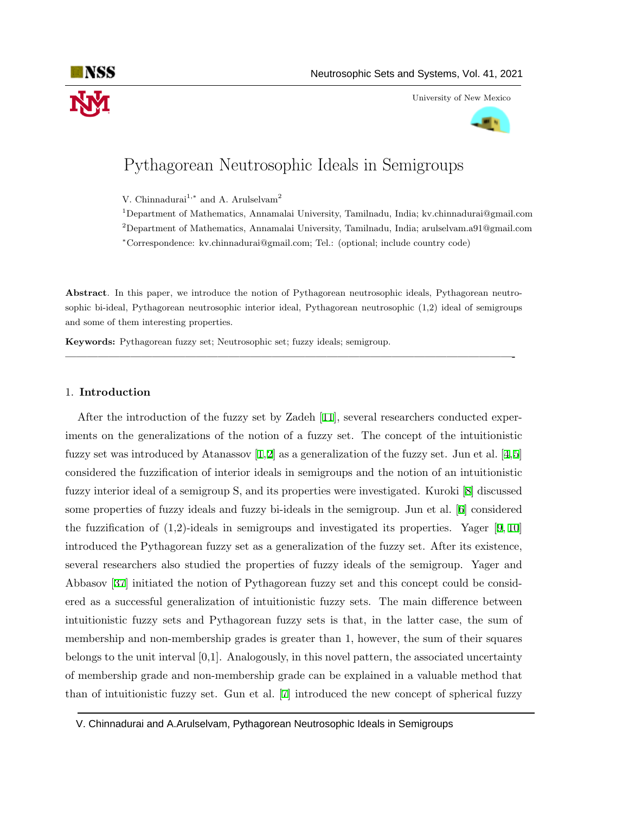

University of New Mexico



# Pythagorean Neutrosophic Ideals in Semigroups

V. Chinnadurai<sup>1,\*</sup> and A. Arulselvam<sup>2</sup>

<sup>1</sup>Department of Mathematics, Annamalai University, Tamilnadu, India; kv.chinnadurai@gmail.com <sup>2</sup>Department of Mathematics, Annamalai University, Tamilnadu, India; arulselvam.a91@gmail.com *<sup>∗</sup>*Correspondence: kv.chinnadurai@gmail.com; Tel.: (optional; include country code)

**Abstract**. In this paper, we introduce the notion of Pythagorean neutrosophic ideals, Pythagorean neutrosophic bi-ideal, Pythagorean neutrosophic interior ideal, Pythagorean neutrosophic (1,2) ideal of semigroups and some of them interesting properties.

**—————————————————————————————————————————-**

**Keywords:** Pythagorean fuzzy set; Neutrosophic set; fuzzy ideals; semigroup.

#### 1. **Introduction**

After the introduction of the fuzzy set by Zadeh [[11\]](#page-10-0), several researchers conducted experiments on the generalizations of the notion of a fuzzy set. The concept of the intuitionistic fuzzy set was introduced by Atanassov [[1](#page-9-0),[2\]](#page-9-1) as a generalization of the fuzzy set. Jun et al. [[4,](#page-9-2)[5\]](#page-9-3) considered the fuzzification of interior ideals in semigroups and the notion of an intuitionistic fuzzy interior ideal of a semigroup S, and its properties were investigated. Kuroki [[8\]](#page-10-1) discussed some properties of fuzzy ideals and fuzzy bi-ideals in the semigroup. Jun et al. [[6\]](#page-9-4) considered the fuzzification of  $(1,2)$ -ideals in semigroups and investigated its properties. Yager [[9,](#page-10-2) [10\]](#page-10-3) introduced the Pythagorean fuzzy set as a generalization of the fuzzy set. After its existence, several researchers also studied the properties of fuzzy ideals of the semigroup. Yager and Abbasov [\[37](#page-11-0)] initiated the notion of Pythagorean fuzzy set and this concept could be considered as a successful generalization of intuitionistic fuzzy sets. The main difference between intuitionistic fuzzy sets and Pythagorean fuzzy sets is that, in the latter case, the sum of membership and non-membership grades is greater than 1, however, the sum of their squares belongs to the unit interval [0,1]. Analogously, in this novel pattern, the associated uncertainty of membership grade and non-membership grade can be explained in a valuable method that than of intuitionistic fuzzy set. Gun et al. [[7\]](#page-10-4) introduced the new concept of spherical fuzzy

V. Chinnadurai and A.Arulselvam, Pythagorean Neutrosophic Ideals in Semigroups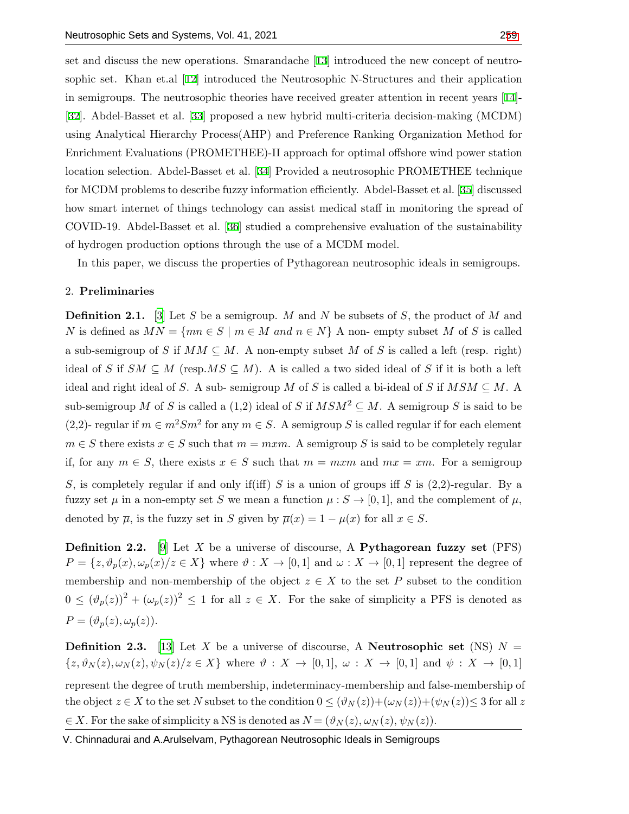set and discuss the new operations. Smarandache [[13\]](#page-10-5) introduced the new concept of neutrosophic set. Khan et.al [\[12](#page-10-6)] introduced the Neutrosophic N-Structures and their application in semigroups. The neutrosophic theories have received greater attention in recent years [[14\]](#page-10-7)- [[32](#page-11-2)]. Abdel-Basset et al. [[33\]](#page-11-3) proposed a new hybrid multi-criteria decision-making (MCDM) using Analytical Hierarchy Process(AHP) and Preference Ranking Organization Method for Enrichment Evaluations (PROMETHEE)-II approach for optimal offshore wind power station location selection. Abdel-Basset et al. [[34\]](#page-11-4) Provided a neutrosophic PROMETHEE technique for MCDM problems to describe fuzzy information efficiently. Abdel-Basset et al. [[35\]](#page-11-5) discussed how smart internet of things technology can assist medical staff in monitoring the spread of COVID-19. Abdel-Basset et al. [[36](#page-11-6)] studied a comprehensive evaluation of the sustainability of hydrogen production options through the use of a MCDM model.

In this paper, we discuss the properties of Pythagorean neutrosophic ideals in semigroups.

# 2. **Preliminaries**

**Definition 2.1.** [[3](#page-9-5)] Let *S* be a semigroup. *M* and *N* be subsets of *S*, the product of *M* and *N* is defined as  $MN = \{mn \in S \mid m \in M \text{ and } n \in N\}$  A non- empty subset *M* of *S* is called a sub-semigroup of *S* if  $MM \subseteq M$ . A non-empty subset *M* of *S* is called a left (resp. right) ideal of *S* if  $SM \subseteq M$  (resp.*MS*  $\subseteq M$ ). A is called a two sided ideal of *S* if it is both a left ideal and right ideal of *S*. A sub- semigroup *M* of *S* is called a bi-ideal of *S* if  $MSM \subseteq M$ . A sub-semigroup *M* of *S* is called a (1,2) ideal of *S* if  $MSM^2 \subset M$ . A semigroup *S* is said to be (2,2)- regular if  $m \in m^2 S m^2$  for any  $m \in S$ . A semigroup *S* is called regular if for each element *m*  $∈$  *S* there exists  $x ∈ S$  such that  $m = mxm$ . A semigroup *S* is said to be completely regular if, for any  $m \in S$ , there exists  $x \in S$  such that  $m = mxm$  and  $mx = xm$ . For a semigroup *S*, is completely regular if and only if(iff) *S* is a union of groups iff *S* is (2,2)-regular. By a fuzzy set  $\mu$  in a non-empty set *S* we mean a function  $\mu$ :  $S \to [0,1]$ , and the complement of  $\mu$ , denoted by  $\overline{\mu}$ , is the fuzzy set in *S* given by  $\overline{\mu}(x) = 1 - \mu(x)$  for all  $x \in S$ .

**Definition 2.2.** [[9](#page-10-2)] Let *X* be a universe of discourse, A **Pythagorean fuzzy set** (PFS)  $P = \{z, \vartheta_p(x), \omega_p(x)/z \in X\}$  where  $\vartheta : X \to [0,1]$  and  $\omega : X \to [0,1]$  represent the degree of membership and non-membership of the object  $z \in X$  to the set P subset to the condition  $0 \leq (\vartheta_p(z))^2 + (\omega_p(z))^2 \leq 1$  for all  $z \in X$ . For the sake of simplicity a PFS is denoted as  $P = (\vartheta_p(z), \omega_p(z)).$ 

**Definition 2.3.** [\[13](#page-10-5)] Let *X* be a universe of discourse, A **Neutrosophic** set (NS)  $N =$  $\{z,\vartheta_N(z),\omega_N(z),\psi_N(z)/z\in X\}$  where  $\vartheta:X\to[0,1],\ \omega:X\to[0,1]$  and  $\psi:X\to[0,1]$ represent the degree of truth membership, indeterminacy-membership and false-membership of the object  $z \in X$  to the set N subset to the condition  $0 \leq (\vartheta_N(z)) + (\omega_N(z)) + (\psi_N(z)) \leq 3$  for all *z*  $\in$  *X*. For the sake of simplicity a NS is denoted as  $N = (\vartheta_N(z), \omega_N(z), \psi_N(z))$ .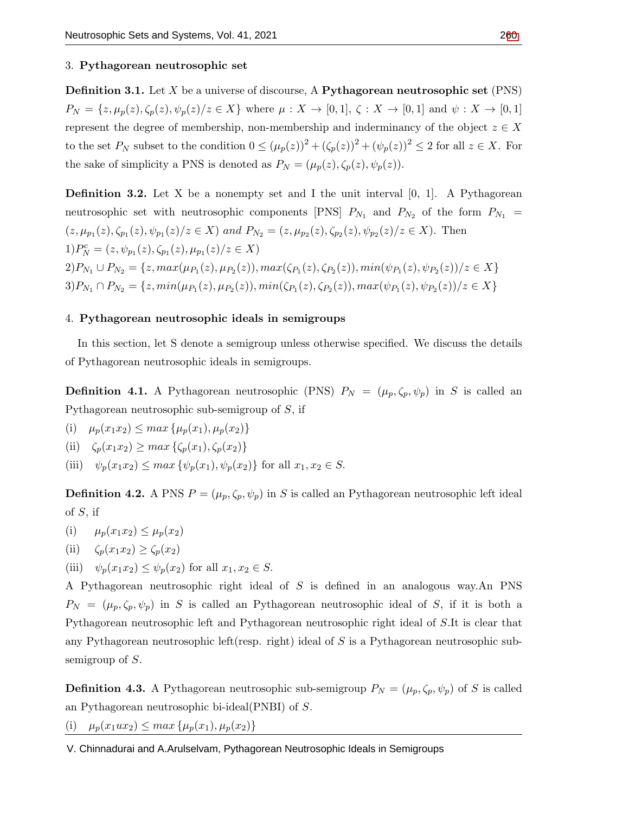## 3. **Pythagorean neutrosophic set**

**Definition 3.1.** Let *X* be a universe of discourse, A **Pythagorean neutrosophic set** (PNS)  $P_N = \{z, \mu_p(z), \zeta_p(z), \psi_p(z)/z \in X\}$  where  $\mu: X \to [0,1], \zeta: X \to [0,1]$  and  $\psi: X \to [0,1]$ represent the degree of membership, non-membership and inderminancy of the object  $z \in X$ to the set  $P_N$  subset to the condition  $0 \leq (\mu_p(z))^2 + (\zeta_p(z))^2 + (\psi_p(z))^2 \leq 2$  for all  $z \in X$ . For the sake of simplicity a PNS is denoted as  $P_N = (\mu_p(z), \zeta_p(z), \psi_p(z)).$ 

**Definition 3.2.** Let X be a nonempty set and I the unit interval  $[0, 1]$ . A Pythagorean neutrosophic set with neutrosophic components [PNS]  $P_{N_1}$  and  $P_{N_2}$  of the form  $P_{N_1}$  =  $(z, \mu_{p_1}(z), \zeta_{p_1}(z), \psi_{p_1}(z)/z \in X)$  and  $P_{N_2} = (z, \mu_{p_2}(z), \zeta_{p_2}(z), \psi_{p_2}(z)/z \in X)$ . Then  $1)P_N^c = (z, \psi_{p_1}(z), \zeta_{p_1}(z), \mu_{p_1}(z)/z \in X)$  $2)P_{N_1} \cup P_{N_2} = \{z, max(\mu_{P_1}(z), \mu_{P_2}(z)), max(\zeta_{P_1}(z), \zeta_{P_2}(z)), min(\psi_{P_1}(z), \psi_{P_2}(z))/z \in X\}$  $3)P_{N_1}\cap P_{N_2} = \{z, min(\mu_{P_1}(z), \mu_{P_2}(z)), min(\zeta_{P_1}(z), \zeta_{P_2}(z)), max(\psi_{P_1}(z), \psi_{P_2}(z))/z \in X\}$ 

## 4. **Pythagorean neutrosophic ideals in semigroups**

In this section, let S denote a semigroup unless otherwise specified. We discuss the details of Pythagorean neutrosophic ideals in semigroups.

**Definition 4.1.** A Pythagorean neutrosophic (PNS)  $P_N = (\mu_p, \zeta_p, \psi_p)$  in *S* is called an Pythagorean neutrosophic sub-semigroup of *S*, if

- (i)  $\mu_p(x_1x_2) \leq max\{\mu_p(x_1), \mu_p(x_2)\}\$
- (ii)  $\zeta_p(x_1x_2) \geq max\{\zeta_p(x_1), \zeta_p(x_2)\}$
- (iii)  $\psi_p(x_1 x_2) \leq max \{ \psi_p(x_1), \psi_p(x_2) \}$  for all  $x_1, x_2 \in S$ .

**Definition 4.2.** A PNS  $P = (\mu_p, \zeta_p, \psi_p)$  in *S* is called an Pythagorean neutrosophic left ideal of *S*, if

- (i)  $\mu_p(x_1x_2) \leq \mu_p(x_2)$
- (ii)  $\zeta_p(x_1x_2) \geq \zeta_p(x_2)$
- (iii)  $\psi_p(x_1 x_2) \leq \psi_p(x_2)$  for all  $x_1, x_2 \in S$ .

A Pythagorean neutrosophic right ideal of *S* is defined in an analogous way.An PNS  $P_N = (\mu_p, \zeta_p, \psi_p)$  in *S* is called an Pythagorean neutrosophic ideal of *S*, if it is both a Pythagorean neutrosophic left and Pythagorean neutrosophic right ideal of *S*.It is clear that any Pythagorean neutrosophic left(resp. right) ideal of *S* is a Pythagorean neutrosophic subsemigroup of *S*.

**Definition 4.3.** A Pythagorean neutrosophic sub-semigroup  $P_N = (\mu_p, \zeta_p, \psi_p)$  of *S* is called an Pythagorean neutrosophic bi-ideal(PNBI) of *S*.

(i)  $\mu_p(x_1ux_2) \leq max\{\mu_p(x_1), \mu_p(x_2)\}\$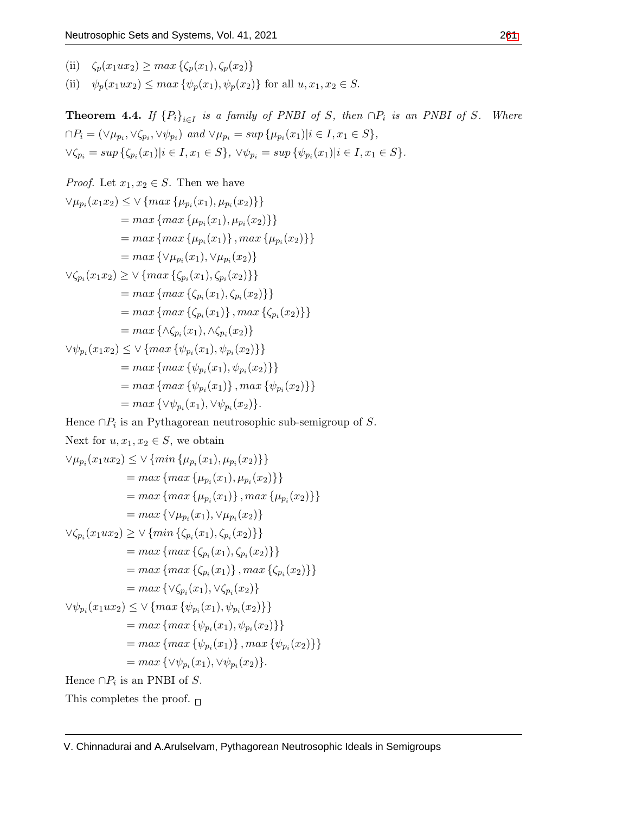(ii)  $\zeta_p(x_1ux_2) \geq max\{\zeta_p(x_1), \zeta_p(x_2)\}$ 

(ii)  $\psi_p(x_1ux_2) \leq max\{\psi_p(x_1), \psi_p(x_2)\}\$ for all  $u, x_1, x_2 \in S$ .

**Theorem 4.4.** *If*  ${P_i}_{i \in I}$  *is a family of PNBI of S, then*  $\cap P_i$  *is an PNBI of S. Where*  $\cap P_i = (\vee \mu_{p_i}, \vee \zeta_{p_i}, \vee \psi_{p_i})$  and  $\vee \mu_{p_i} = \sup \{\mu_{p_i}(x_1) | i \in I, x_1 \in S\},\$  $\forall \zeta_{p_i} = \sup \{\zeta_{p_i}(x_1)|i \in I, x_1 \in S\}, \ \forall \psi_{p_i} = \sup \{\psi_{p_i}(x_1)|i \in I, x_1 \in S\}.$ 

```
Proof. Let x_1, x_2 \in S. Then we have
```

$$
\forall \mu_{p_i}(x_1x_2) \leq \forall \{max \{\mu_{p_i}(x_1), \mu_{p_i}(x_2)\}\}\
$$
  
\n= max{max{ $\mu_{p_i}(x_1), \mu_{p_i}(x_2)\}\}\$   
\n= max{max{ $\mu_{p_i}(x_1), \mu_{p_i}(x_2)\}\}\$   
\n= max{ $\forall \mu_{p_i}(x_1), \forall \mu_{p_i}(x_2)\}\$   
\n $\forall \zeta_{p_i}(x_1x_2) \geq \forall \{max \{\zeta_{p_i}(x_1), \zeta_{p_i}(x_2)\}\}\$   
\n= max{max{ $\zeta_{p_i}(x_1), \zeta_{p_i}(x_2)\}\}\$   
\n= max{max{ $\zeta_{p_i}(x_1), \lambda_{p_i}(x_2)\}\}\$   
\n= max{ $\wedge \zeta_{p_i}(x_1), \wedge \zeta_{p_i}(x_2)\}\$   
\n $\forall \psi_{p_i}(x_1x_2) \leq \forall \{max \{\psi_{p_i}(x_1), \psi_{p_i}(x_2)\}\}\$   
\n= max{max{ $\psi_{p_i}(x_1), \psi_{p_i}(x_2)\}\}\$   
\n= max{max{ $\psi_{p_i}(x_1), \psi_{p_i}(x_2)\}\}\$   
\n= max{max{ $\psi_{p_i}(x_1), \forall \psi_{p_i}(x_2)\}\}\$   
\n= max{ $\forall \psi_{p_i}(x_1), \forall \psi_{p_i}(x_2)\}.$ 

Hence *∩P<sup>i</sup>* is an Pythagorean neutrosophic sub-semigroup of *S*.

Hence 
$$
\prod_i
$$
 is an Yythagorean function  
\nNext for  $u, x_1, x_2 \in S$ , we obtain  
\n
$$
\forall \mu_{p_i}(x_1ux_2) \leq \forall \{min \{\mu_{p_i}(x_1), \mu_{p_i}(x_2)\}\}
$$
\n
$$
= max \{max \{\mu_{p_i}(x_1), \mu_{p_i}(x_2)\}\}
$$
\n
$$
= max \{max \{\mu_{p_i}(x_1)\}, max \{\mu_{p_i}(x_2)\}\}
$$
\n
$$
= max \{\forall \mu_{p_i}(x_1), \forall \mu_{p_i}(x_2)\}
$$
\n
$$
\forall \zeta_{p_i}(x_1ux_2) \geq \forall \{min \{\zeta_{p_i}(x_1), \zeta_{p_i}(x_2)\}\}
$$
\n
$$
= max \{max \{\zeta_{p_i}(x_1), \zeta_{p_i}(x_2)\}\}
$$
\n
$$
= max \{max \{\zeta_{p_i}(x_1)\}, max \{\zeta_{p_i}(x_2)\}\}
$$
\n
$$
= max \{\forall \zeta_{p_i}(x_1), \forall \zeta_{p_i}(x_2)\}
$$
\n
$$
\forall \psi_{p_i}(x_1ux_2) \leq \forall \{max \{\psi_{p_i}(x_1), \psi_{p_i}(x_2)\}\}
$$
\n
$$
= max \{max \{\psi_{p_i}(x_1), \psi_{p_i}(x_2)\}\}
$$
\n
$$
= max \{max \{\psi_{p_i}(x_1), \psi_{p_i}(x_2)\}\}
$$
\n
$$
= max \{\forall \psi_{p_i}(x_1), \forall \psi_{p_i}(x_2)\}.
$$
\nHence  $\cap P_i$  is an PNBI of *S*.  
\nThis completes the proof.  $\Box$ 

V. Chinnadurai and A.Arulselvam, Pythagorean Neutrosophic Ideals in Semigroups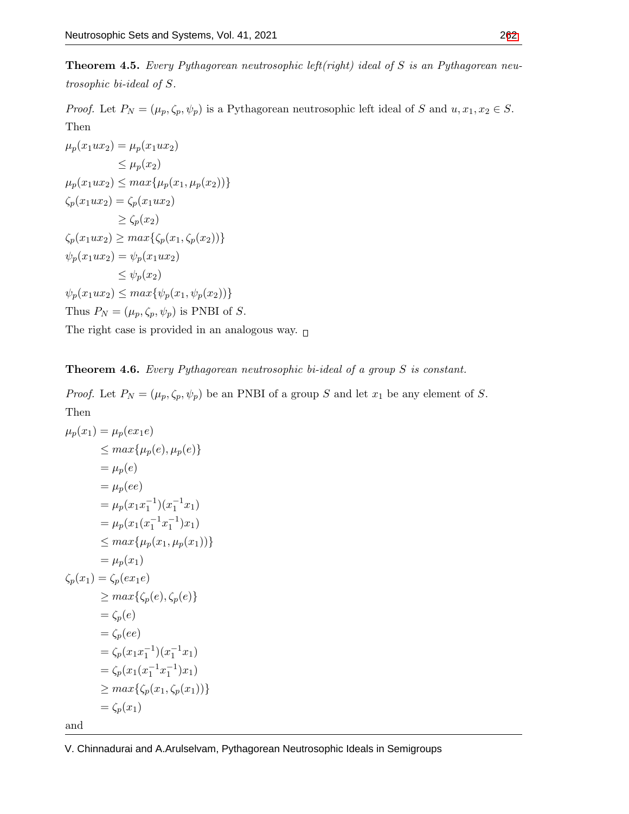**Theorem 4.5.** *Every Pythagorean neutrosophic left(right) ideal of S is an Pythagorean neutrosophic bi-ideal of S.*

*Proof.* Let  $P_N = (\mu_p, \zeta_p, \psi_p)$  is a Pythagorean neutrosophic left ideal of *S* and  $u, x_1, x_2 \in S$ . Then

$$
\mu_p(x_1ux_2) = \mu_p(x_1ux_2)
$$
  
\n
$$
\leq \mu_p(x_2)
$$
  
\n
$$
\mu_p(x_1ux_2) \leq max{\mu_p(x_1, \mu_p(x_2))}
$$
  
\n
$$
\zeta_p(x_1ux_2) = \zeta_p(x_1ux_2)
$$
  
\n
$$
\geq \zeta_p(x_2)
$$
  
\n
$$
\zeta_p(x_1ux_2) \geq max{\zeta_p(x_1, \zeta_p(x_2))}
$$
  
\n
$$
\psi_p(x_1ux_2) = \psi_p(x_1ux_2)
$$
  
\n
$$
\leq \psi_p(x_2)
$$
  
\n
$$
\psi_p(x_1ux_2) \leq max{\psi_p(x_1, \psi_p(x_2))}
$$
  
\nThus  $P_N = (\mu_p, \zeta_p, \psi_p)$  is PNBI of *S*.

The right case is provided in an analogous way.  $_\Box$ 

**Theorem 4.6.** *Every Pythagorean neutrosophic bi-ideal of a group S is constant.*

*Proof.* Let  $P_N = (\mu_p, \zeta_p, \psi_p)$  be an PNBI of a group *S* and let  $x_1$  be any element of *S*. Then

$$
\mu_p(x_1) = \mu_p(ex_1e)
$$
  
\n
$$
\leq max{\mu_p(e), \mu_p(e)}
$$
  
\n
$$
= \mu_p(e)
$$
  
\n
$$
= \mu_p(x_1x_1^{-1})(x_1^{-1}x_1)
$$
  
\n
$$
= \mu_p(x_1(x_1^{-1}x_1^{-1})x_1)
$$
  
\n
$$
\leq max{\mu_p(x_1, \mu_p(x_1))}
$$
  
\n
$$
= \mu_p(x_1)
$$
  
\n
$$
\zeta_p(x_1) = \zeta_p(ex_1e)
$$
  
\n
$$
\geq max{\zeta_p(e), \zeta_p(e)}
$$
  
\n
$$
= \zeta_p(e)
$$
  
\n
$$
= \zeta_p(e)
$$
  
\n
$$
= \zeta_p(x_1x_1^{-1})(x_1^{-1}x_1)
$$
  
\n
$$
= \zeta_p(x_1(x_1^{-1}x_1^{-1})x_1)
$$
  
\n
$$
\geq max{\zeta_p(x_1, \zeta_p(x_1))}
$$
  
\n
$$
= \zeta_p(x_1)
$$

and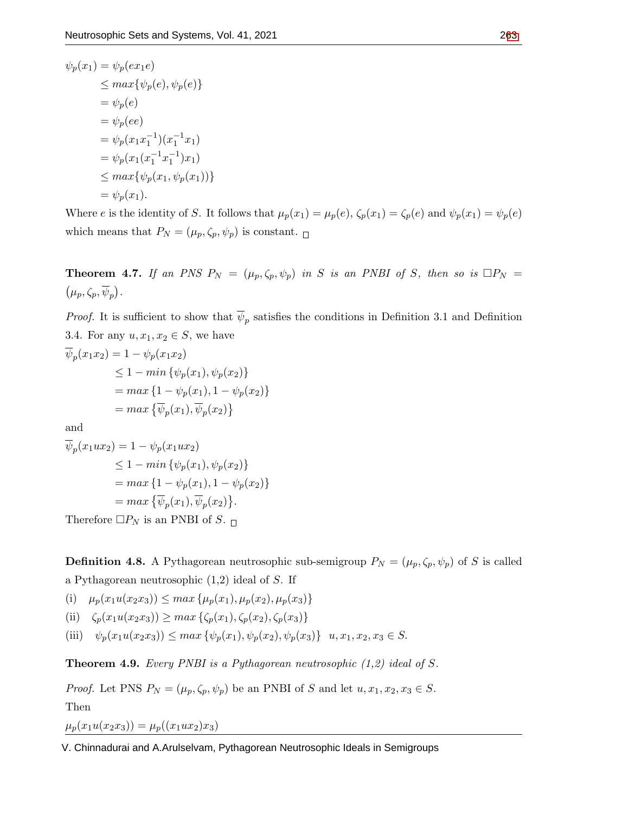$$
\psi_p(x_1) = \psi_p(ex_1e) \n\leq max{\psi_p(e), \psi_p(e)} \n= \psi_p(e) \n= \psi_p(x_1x_1^{-1})(x_1^{-1}x_1) \n= \psi_p(x_1(x_1^{-1}x_1^{-1})x_1) \n\leq max{\psi_p(x_1, \psi_p(x_1))} \n= \psi_p(x_1).
$$

Where e is the identity of S. It follows that  $\mu_p(x_1) = \mu_p(e)$ ,  $\zeta_p(x_1) = \zeta_p(e)$  and  $\psi_p(x_1) = \psi_p(e)$ which means that  $P_N=(\mu_p,\zeta_p,\psi_p)$  is constant.  ${}_{\square}$ 

**Theorem 4.7.** *If an PNS*  $P_N = (\mu_p, \zeta_p, \psi_p)$  *in S is an PNBI of S, then so is*  $\Box P_N =$  $(\mu_p, \zeta_p, \overline{\psi}_p).$ 

*Proof.* It is sufficient to show that  $\psi_p$  satisfies the conditions in Definition 3.1 and Definition 3.4. For any  $u, x_1, x_2 \in S$ , we have

$$
\overline{\psi}_p(x_1x_2) = 1 - \psi_p(x_1x_2)
$$
\n
$$
\leq 1 - \min \{ \psi_p(x_1), \psi_p(x_2) \}
$$
\n
$$
= \max \{ 1 - \psi_p(x_1), 1 - \psi_p(x_2) \}
$$
\n
$$
= \max \{ \overline{\psi}_p(x_1), \overline{\psi}_p(x_2) \}
$$

and

$$
\overline{\psi}_p(x_1ux_2) = 1 - \psi_p(x_1ux_2)
$$
  
\n
$$
\leq 1 - \min \{ \psi_p(x_1), \psi_p(x_2) \}
$$
  
\n
$$
= \max \{ 1 - \psi_p(x_1), 1 - \psi_p(x_2) \}
$$
  
\n
$$
= \max \{ \overline{\psi}_p(x_1), \overline{\psi}_p(x_2) \}.
$$

Therefore  $\Box P_N$  is an PNBI of *S*.  $\Box$ 

**Definition 4.8.** A Pythagorean neutrosophic sub-semigroup  $P_N = (\mu_p, \zeta_p, \psi_p)$  of *S* is called a Pythagorean neutrosophic (1,2) ideal of *S*. If

(i)  $\mu_p(x_1u(x_2x_3)) \leq max\{\mu_p(x_1), \mu_p(x_2), \mu_p(x_3)\}\$ 

(ii)  $\zeta_p(x_1u(x_2x_3)) \geq max \{ \zeta_p(x_1), \zeta_p(x_2), \zeta_p(x_3) \}$ 

(iii)  $\psi_p(x_1u(x_2x_3)) \leq max \{ \psi_p(x_1), \psi_p(x_2), \psi_p(x_3) \}$   $u, x_1, x_2, x_3 \in S$ .

**Theorem 4.9.** *Every PNBI is a Pythagorean neutrosophic (1,2) ideal of S.*

*Proof.* Let PNS  $P_N = (\mu_p, \zeta_p, \psi_p)$  be an PNBI of *S* and let  $u, x_1, x_2, x_3 \in S$ . Then

 $\mu_p(x_1u(x_2x_3)) = \mu_p((x_1ux_2)x_3)$ 

V. Chinnadurai and A.Arulselvam, Pythagorean Neutrosophic Ideals in Semigroups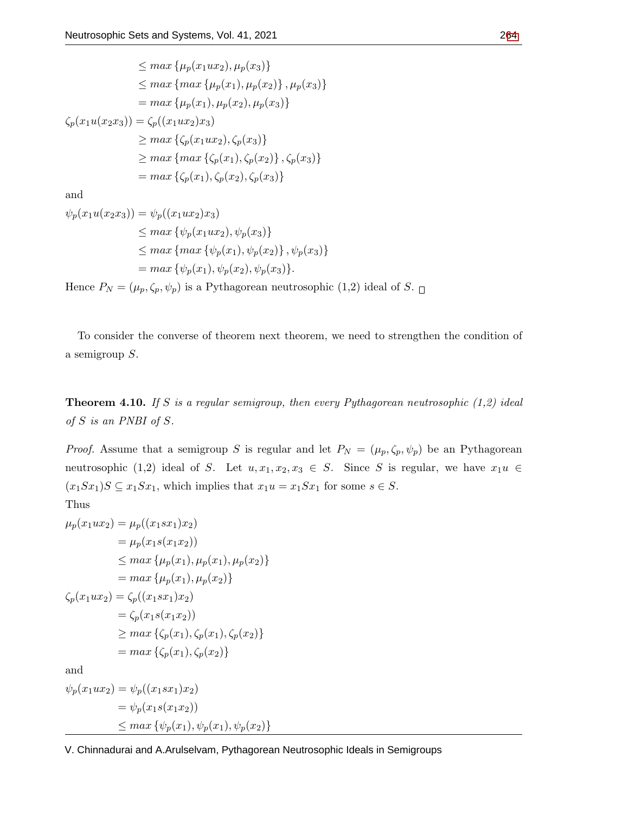$$
\leq \max \{\mu_p(x_1ux_2), \mu_p(x_3)\}\
$$
  
\n
$$
\leq \max \{\max \{\mu_p(x_1), \mu_p(x_2)\}, \mu_p(x_3)\}\
$$
  
\n
$$
= \max \{\mu_p(x_1), \mu_p(x_2), \mu_p(x_3)\}\
$$
  
\n
$$
\zeta_p(x_1u(x_2x_3)) = \zeta_p((x_1ux_2)x_3)
$$
  
\n
$$
\geq \max \{\zeta_p(x_1ux_2), \zeta_p(x_3)\}\
$$
  
\n
$$
\geq \max \{\mu_p(x_1), \zeta_p(x_2)\}, \zeta_p(x_3)\}\
$$
  
\n
$$
= \max \{\zeta_p(x_1), \zeta_p(x_2), \zeta_p(x_3)\}\
$$

and

$$
\psi_p(x_1u(x_2x_3)) = \psi_p((x_1ux_2)x_3)
$$
  
\n
$$
\leq max \{\psi_p(x_1ux_2), \psi_p(x_3)\}
$$
  
\n
$$
\leq max \{max \{\psi_p(x_1), \psi_p(x_2)\}, \psi_p(x_3)\}
$$
  
\n
$$
= max \{\psi_p(x_1), \psi_p(x_2), \psi_p(x_3)\}.
$$

Hence  $P_N = (\mu_p, \zeta_p, \psi_p)$  is a Pythagorean neutrosophic (1,2) ideal of *S*.  $\Box$ 

To consider the converse of theorem next theorem, we need to strengthen the condition of a semigroup *S*.

**Theorem 4.10.** *If S is a regular semigroup, then every Pythagorean neutrosophic (1,2) ideal of S is an PNBI of S.*

*Proof.* Assume that a semigroup *S* is regular and let  $P_N = (\mu_p, \zeta_p, \psi_p)$  be an Pythagorean neutrosophic (1,2) ideal of *S*. Let  $u, x_1, x_2, x_3 \in S$ . Since *S* is regular, we have  $x_1u \in$  $(x_1 S x_1) S \subseteq x_1 S x_1$ , which implies that  $x_1 u = x_1 S x_1$  for some  $s \in S$ . Thus

$$
\mu_p(x_1ux_2) = \mu_p((x_1sx_1)x_2)
$$
  
\n
$$
= \mu_p(x_1s(x_1x_2))
$$
  
\n
$$
\leq max \{\mu_p(x_1), \mu_p(x_1), \mu_p(x_2)\}
$$
  
\n
$$
= max \{\mu_p(x_1), \mu_p(x_2)\}
$$
  
\n
$$
\zeta_p(x_1ux_2) = \zeta_p((x_1sx_1)x_2)
$$
  
\n
$$
= \zeta_p(x_1s(x_1x_2))
$$
  
\n
$$
\geq max \{\zeta_p(x_1), \zeta_p(x_1), \zeta_p(x_2)\}
$$
  
\n
$$
= max \{\zeta_p(x_1), \zeta_p(x_2)\}
$$
  
\nand  
\n
$$
\psi_p(x_1ux_2) = \psi_p((x_1sx_1)x_2)
$$
  
\n
$$
= \psi_p(x_1s(x_1x_2))
$$
  
\n
$$
\leq max \{\psi_p(x_1), \psi_p(x_1), \psi_p(x_2)\}
$$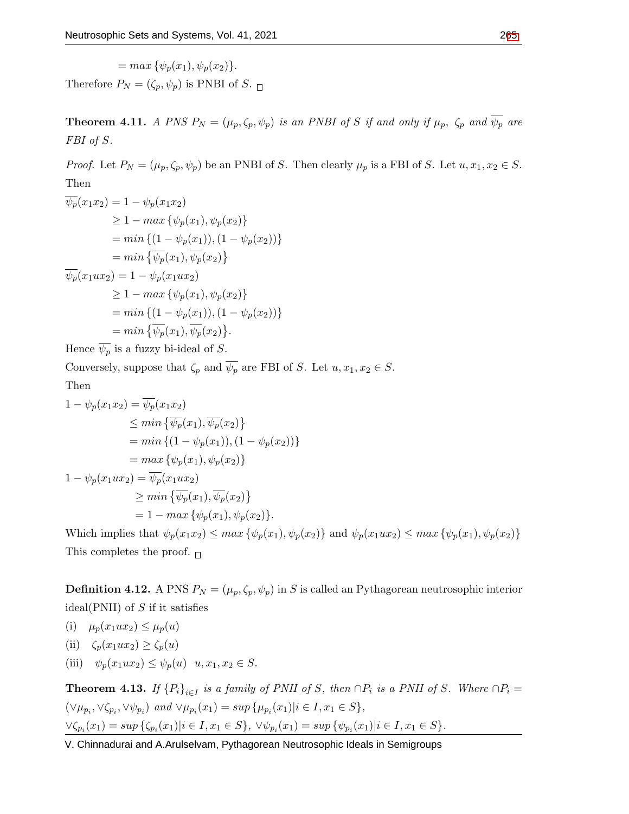$$
= max \{ \psi_p(x_1), \psi_p(x_2) \}.
$$

Therefore  $P_N = (\zeta_p, \psi_p)$  is PNBI of *S*.

**Theorem 4.11.** A PNS  $P_N = (\mu_p, \zeta_p, \psi_p)$  is an PNBI of S if and only if  $\mu_p$ ,  $\zeta_p$  and  $\overline{\psi_p}$  are *FBI of S.*

*Proof.* Let  $P_N = (\mu_p, \zeta_p, \psi_p)$  be an PNBI of *S*. Then clearly  $\mu_p$  is a FBI of *S*. Let  $u, x_1, x_2 \in S$ . Then

$$
\overline{\psi_p}(x_1x_2) = 1 - \psi_p(x_1x_2)
$$
\n
$$
\geq 1 - \max \{\psi_p(x_1), \psi_p(x_2)\}
$$
\n
$$
= \min \{(1 - \psi_p(x_1)), (1 - \psi_p(x_2))\}
$$
\n
$$
= \min \{\overline{\psi_p}(x_1), \overline{\psi_p}(x_2)\}
$$
\n
$$
\overline{\psi_p}(x_1ux_2) = 1 - \psi_p(x_1ux_2)
$$
\n
$$
\geq 1 - \max \{\psi_p(x_1), \psi_p(x_2)\}
$$
\n
$$
= \min \{(1 - \psi_p(x_1)), (1 - \psi_p(x_2))\}
$$
\n
$$
= \min \{\overline{\psi_p}(x_1), \overline{\psi_p}(x_2)\}.
$$

Hence  $\overline{\psi_p}$  is a fuzzy bi-ideal of *S*.

Conversely, suppose that  $\zeta_p$  and  $\overline{\psi_p}$  are FBI of *S*. Let  $u, x_1, x_2 \in S$ .

Then

$$
1 - \psi_p(x_1x_2) = \overline{\psi_p}(x_1x_2)
$$
  
\n
$$
\leq \min \{\overline{\psi_p}(x_1), \overline{\psi_p}(x_2)\}
$$
  
\n
$$
= \min \{(1 - \psi_p(x_1)), (1 - \psi_p(x_2))\}
$$
  
\n
$$
= \max \{\psi_p(x_1), \psi_p(x_2)\}
$$
  
\n
$$
1 - \psi_p(x_1ux_2) = \overline{\psi_p}(x_1ux_2)
$$
  
\n
$$
\geq \min \{\overline{\psi_p}(x_1), \overline{\psi_p}(x_2)\}
$$
  
\n
$$
= 1 - \max \{\psi_p(x_1), \psi_p(x_2)\}.
$$

Which implies that  $\psi_p(x_1x_2) \leq max \{ \psi_p(x_1), \psi_p(x_2) \}$  and  $\psi_p(x_1ux_2) \leq max \{ \psi_p(x_1), \psi_p(x_2) \}$ This completes the proof.  $\Box$ 

**Definition 4.12.** A PNS  $P_N = (\mu_p, \zeta_p, \psi_p)$  in *S* is called an Pythagorean neutrosophic interior ideal(PNII) of *S* if it satisfies

- (i)  $\mu_p(x_1ux_2) \leq \mu_p(u)$
- (ii)  $\zeta_p(x_1ux_2) \geq \zeta_p(u)$
- (iii)  $\psi_p(x_1ux_2) \leq \psi_p(u) \quad u, x_1, x_2 \in S.$

**Theorem 4.13.** If  ${P_i}_{i \in I}$  is a family of PNII of S, then  $\cap P_i$  is a PNII of S. Where  $\cap P_i =$  $(\vee \mu_{p_i}, \vee \zeta_{p_i}, \vee \psi_{p_i})$  and  $\vee \mu_{p_i}(x_1) = \sup \{\mu_{p_i}(x_1) | i \in I, x_1 \in S\},\$  $\forall \zeta_{p_i}(x_1) = \sup \{\zeta_{p_i}(x_1)|i \in I, x_1 \in S\}, \ \forall \psi_{p_i}(x_1) = \sup \{\psi_{p_i}(x_1)|i \in I, x_1 \in S\}.$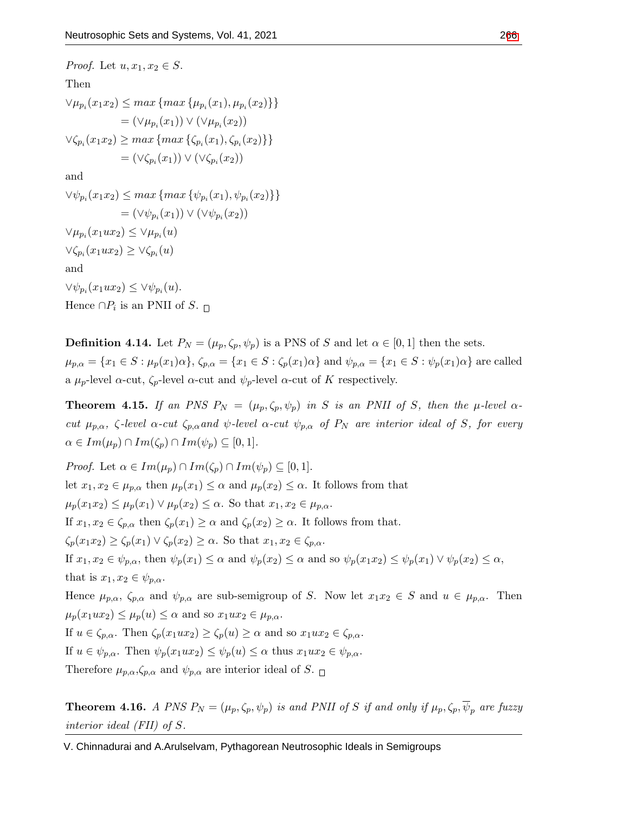*Proof.* Let  $u, x_1, x_2 \in S$ . Then  $\forall \mu_{p_i}(x_1 x_2) \leq max \{ max \{ \mu_{p_i}(x_1), \mu_{p_i}(x_2) \} \}$  $= (\vee \mu_{p_i}(x_1)) \vee (\vee \mu_{p_i}(x_2))$  $\forall \zeta_{p_i}(x_1 x_2) \geq max \{ max \{ \zeta_{p_i}(x_1), \zeta_{p_i}(x_2) \} \}$  $= (\vee \zeta_{p_i}(x_1)) \vee (\vee \zeta_{p_i}(x_2))$ and  $\forall \psi_{p_i}(x_1 x_2) \leq max \{ max \{\psi_{p_i}(x_1), \psi_{p_i}(x_2)\}\}\$  $= (\vee \psi_{p_i}(x_1)) \vee (\vee \psi_{p_i}(x_2))$  $∨\mu_{p_i}(x_1ux_2)$  ≤  $∨\mu_{p_i}(u)$  $∨$ *ζ*<sub>*pi*</sub></sub> $(x_1ux_2) ≥ ∨$ *ζ*<sub>*pi*</sub> $(u)$ and  $∨ψ<sub>p<sub>i</sub></sub>(x<sub>1</sub>ux<sub>2</sub>) ≤ ∨ψ<sub>p<sub>i</sub></sub>(u).$ Hence  $\cap P_i$  is an PNII of *S*.

**Definition 4.14.** Let  $P_N = (\mu_p, \zeta_p, \psi_p)$  is a PNS of *S* and let  $\alpha \in [0, 1]$  then the sets.  $\mu_{p,\alpha} = \{x_1 \in S : \mu_p(x_1)\alpha\}, \zeta_{p,\alpha} = \{x_1 \in S : \zeta_p(x_1)\alpha\}$  and  $\psi_{p,\alpha} = \{x_1 \in S : \psi_p(x_1)\alpha\}$  are called a  $\mu_p$ -level  $\alpha$ -cut,  $\zeta_p$ -level  $\alpha$ -cut and  $\psi_p$ -level  $\alpha$ -cut of K respectively.

**Theorem 4.15.** *If an PNS*  $P_N = (\mu_p, \zeta_p, \psi_p)$  *in S is an PNII of S, then the*  $\mu$ -level  $\alpha$ cut  $\mu_{p,\alpha}$ ,  $\zeta$ -level  $\alpha$ -cut  $\zeta_{p,\alpha}$  and  $\psi$ -level  $\alpha$ -cut  $\psi_{p,\alpha}$  of  $P_N$  are interior ideal of S, for every  $\alpha \in Im(\mu_p) \cap Im(\zeta_p) \cap Im(\psi_p) \subseteq [0,1].$ 

*Proof.* Let  $\alpha \in Im(\mu_n) \cap Im(\zeta_n) \cap Im(\psi_n) \subseteq [0,1].$ let  $x_1, x_2 \in \mu_{p,\alpha}$  then  $\mu_p(x_1) \leq \alpha$  and  $\mu_p(x_2) \leq \alpha$ . It follows from that  $\mu_p(x_1 x_2) \leq \mu_p(x_1) \vee \mu_p(x_2) \leq \alpha$ . So that  $x_1, x_2 \in \mu_{p,\alpha}$ . If  $x_1, x_2 \in \zeta_{p,\alpha}$  then  $\zeta_p(x_1) \geq \alpha$  and  $\zeta_p(x_2) \geq \alpha$ . It follows from that.  $\zeta_p(x_1x_2) \geq \zeta_p(x_1) \vee \zeta_p(x_2) \geq \alpha$ . So that  $x_1, x_2 \in \zeta_{p,\alpha}$ . If  $x_1, x_2 \in \psi_{p,\alpha}$ , then  $\psi_p(x_1) \leq \alpha$  and  $\psi_p(x_2) \leq \alpha$  and so  $\psi_p(x_1x_2) \leq \psi_p(x_1) \vee \psi_p(x_2) \leq \alpha$ , that is  $x_1, x_2 \in \psi_{p,\alpha}$ . Hence  $\mu_{p,\alpha}$ ,  $\zeta_{p,\alpha}$  and  $\psi_{p,\alpha}$  are sub-semigroup of *S*. Now let  $x_1x_2 \in S$  and  $u \in \mu_{p,\alpha}$ . Then  $\mu_p(x_1ux_2) \leq \mu_p(u) \leq \alpha$  and so  $x_1ux_2 \in \mu_{p,\alpha}$ . If  $u \in \zeta_{p,\alpha}$ . Then  $\zeta_p(x_1ux_2) \geq \zeta_p(u) \geq \alpha$  and so  $x_1ux_2 \in \zeta_{p,\alpha}$ . If  $u \in \psi_{p,\alpha}$ . Then  $\psi_p(x_1ux_2) \leq \psi_p(u) \leq \alpha$  thus  $x_1ux_2 \in \psi_{p,\alpha}$ . Therefore  $\mu_{p,\alpha}, \zeta_{p,\alpha}$  and  $\psi_{p,\alpha}$  are interior ideal of *S*.

**Theorem 4.16.** A PNS  $P_N = (\mu_p, \zeta_p, \psi_p)$  is and PNII of S if and only if  $\mu_p, \zeta_p, \overline{\psi}_p$  are fuzzy *interior ideal (FII) of S.*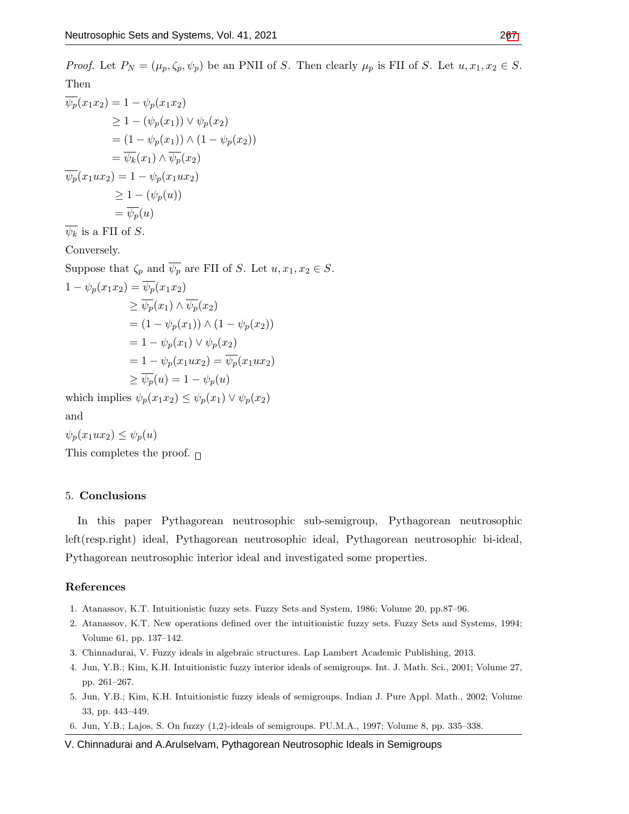$$
\overline{\psi_p}(x_1x_2) = 1 - \psi_p(x_1x_2)
$$
\n
$$
\geq 1 - (\psi_p(x_1)) \vee \psi_p(x_2)
$$
\n
$$
= (1 - \psi_p(x_1)) \wedge (1 - \psi_p(x_2))
$$
\n
$$
= \overline{\psi_k}(x_1) \wedge \overline{\psi_p}(x_2)
$$
\n
$$
\overline{\psi_p}(x_1ux_2) = 1 - \psi_p(x_1ux_2)
$$
\n
$$
\geq 1 - (\psi_p(u))
$$
\n
$$
= \overline{\psi_p}(u)
$$

 $\overline{\psi_k}$  is a FII of *S*.

Conversely.

Suppose that  $\zeta_p$  and  $\overline{\psi_p}$  are FII of *S*. Let  $u, x_1, x_2 \in S$ .

$$
1 - \psi_p(x_1x_2) = \psi_p(x_1x_2)
$$
  
\n
$$
\geq \overline{\psi_p}(x_1) \land \overline{\psi_p}(x_2)
$$
  
\n
$$
= (1 - \psi_p(x_1)) \land (1 - \psi_p(x_2))
$$
  
\n
$$
= 1 - \psi_p(x_1) \lor \psi_p(x_2)
$$
  
\n
$$
= 1 - \psi_p(x_1ux_2) = \overline{\psi_p}(x_1ux_2)
$$
  
\n
$$
\geq \overline{\psi_p}(u) = 1 - \psi_p(u)
$$

which implies  $\psi_p(x_1x_2) \leq \psi_p(x_1) \vee \psi_p(x_2)$ and

 $\psi_p(x_1ux_2) \leq \psi_p(u)$ 

This completes the proof.  $\Box$ 

#### 5. **Conclusions**

In this paper Pythagorean neutrosophic sub-semigroup, Pythagorean neutrosophic left(resp.right) ideal, Pythagorean neutrosophic ideal, Pythagorean neutrosophic bi-ideal, Pythagorean neutrosophic interior ideal and investigated some properties.

### **References**

- <span id="page-9-0"></span>1. Atanassov, K.T. Intuitionistic fuzzy sets. Fuzzy Sets and System, 1986; Volume 20, pp.87–96.
- <span id="page-9-1"></span>2. Atanassov, K.T. New operations defined over the intuitionistic fuzzy sets. Fuzzy Sets and Systems, 1994; Volume 61, pp. 137–142.
- <span id="page-9-5"></span>3. Chinnadurai, V. Fuzzy ideals in algebraic structures. Lap Lambert Academic Publishing, 2013.
- <span id="page-9-2"></span>4. Jun, Y.B.; Kim, K.H. Intuitionistic fuzzy interior ideals of semigroups. Int. J. Math. Sci., 2001; Volume 27, pp. 261–267.
- <span id="page-9-3"></span>5. Jun, Y.B.; Kim, K.H. Intuitionistic fuzzy ideals of semigroups. Indian J. Pure Appl. Math., 2002; Volume 33, pp. 443–449.
- <span id="page-9-4"></span>6. Jun, Y.B.; Lajos, S. On fuzzy (1,2)-ideals of semigroups. PU.M.A., 1997; Volume 8, pp. 335–338.

V. Chinnadurai and A.Arulselvam, Pythagorean Neutrosophic Ideals in Semigroups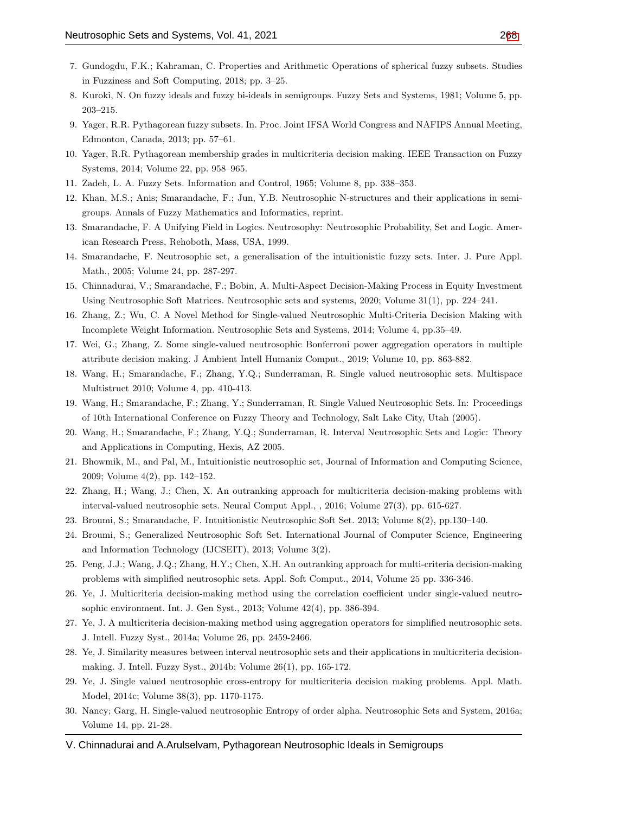- <span id="page-10-4"></span>7. Gundogdu, F.K.; Kahraman, C. Properties and Arithmetic Operations of spherical fuzzy subsets. Studies in Fuzziness and Soft Computing, 2018; pp. 3–25.
- <span id="page-10-1"></span>8. Kuroki, N. On fuzzy ideals and fuzzy bi-ideals in semigroups. Fuzzy Sets and Systems, 1981; Volume 5, pp. 203–215.
- <span id="page-10-2"></span>9. Yager, R.R. Pythagorean fuzzy subsets. In. Proc. Joint IFSA World Congress and NAFIPS Annual Meeting, Edmonton, Canada, 2013; pp. 57–61.
- <span id="page-10-3"></span>10. Yager, R.R. Pythagorean membership grades in multicriteria decision making. IEEE Transaction on Fuzzy Systems, 2014; Volume 22, pp. 958–965.
- <span id="page-10-0"></span>11. Zadeh, L. A. Fuzzy Sets. Information and Control, 1965; Volume 8, pp. 338–353.
- <span id="page-10-6"></span>12. Khan, M.S.; Anis; Smarandache, F.; Jun, Y.B. Neutrosophic N-structures and their applications in semigroups. Annals of Fuzzy Mathematics and Informatics, reprint.
- <span id="page-10-5"></span>13. Smarandache, F. A Unifying Field in Logics. Neutrosophy: Neutrosophic Probability, Set and Logic. American Research Press, Rehoboth, Mass, USA, 1999.
- <span id="page-10-7"></span>14. Smarandache, F. Neutrosophic set, a generalisation of the intuitionistic fuzzy sets. Inter. J. Pure Appl. Math., 2005; Volume 24, pp. 287-297.
- 15. Chinnadurai, V.; Smarandache, F.; Bobin, A. Multi-Aspect Decision-Making Process in Equity Investment Using Neutrosophic Soft Matrices. Neutrosophic sets and systems, 2020; Volume 31(1), pp. 224–241.
- 16. Zhang, Z.; Wu, C. A Novel Method for Single-valued Neutrosophic Multi-Criteria Decision Making with Incomplete Weight Information. Neutrosophic Sets and Systems, 2014; Volume 4, pp.35–49.
- 17. Wei, G.; Zhang, Z. Some single-valued neutrosophic Bonferroni power aggregation operators in multiple attribute decision making. J Ambient Intell Humaniz Comput., 2019; Volume 10, pp. 863-882.
- 18. Wang, H.; Smarandache, F.; Zhang, Y.Q.; Sunderraman, R. Single valued neutrosophic sets. Multispace Multistruct 2010; Volume 4, pp. 410-413.
- 19. Wang, H.; Smarandache, F.; Zhang, Y.; Sunderraman, R. Single Valued Neutrosophic Sets. In: Proceedings of 10th International Conference on Fuzzy Theory and Technology, Salt Lake City, Utah (2005).
- 20. Wang, H.; Smarandache, F.; Zhang, Y.Q.; Sunderraman, R. Interval Neutrosophic Sets and Logic: Theory and Applications in Computing, Hexis, AZ 2005.
- 21. Bhowmik, M., and Pal, M., Intuitionistic neutrosophic set, Journal of Information and Computing Science, 2009; Volume 4(2), pp. 142–152.
- 22. Zhang, H.; Wang, J.; Chen, X. An outranking approach for multicriteria decision-making problems with interval-valued neutrosophic sets. Neural Comput Appl., , 2016; Volume 27(3), pp. 615-627.
- 23. Broumi, S.; Smarandache, F. Intuitionistic Neutrosophic Soft Set. 2013; Volume 8(2), pp.130–140.
- 24. Broumi, S.; Generalized Neutrosophic Soft Set. International Journal of Computer Science, Engineering and Information Technology (IJCSEIT), 2013; Volume 3(2).
- 25. Peng, J.J.; Wang, J.Q.; Zhang, H.Y.; Chen, X.H. An outranking approach for multi-criteria decision-making problems with simplified neutrosophic sets. Appl. Soft Comput., 2014, Volume 25 pp. 336-346.
- 26. Ye, J. Multicriteria decision-making method using the correlation coefficient under single-valued neutrosophic environment. Int. J. Gen Syst., 2013; Volume 42(4), pp. 386-394.
- 27. Ye, J. A multicriteria decision-making method using aggregation operators for simplified neutrosophic sets. J. Intell. Fuzzy Syst., 2014a; Volume 26, pp. 2459-2466.
- 28. Ye, J. Similarity measures between interval neutrosophic sets and their applications in multicriteria decisionmaking. J. Intell. Fuzzy Syst., 2014b; Volume 26(1), pp. 165-172.
- 29. Ye, J. Single valued neutrosophic cross-entropy for multicriteria decision making problems. Appl. Math. Model, 2014c; Volume 38(3), pp. 1170-1175.
- 30. Nancy; Garg, H. Single-valued neutrosophic Entropy of order alpha. Neutrosophic Sets and System, 2016a; Volume 14, pp. 21-28.
- V. Chinnadurai and A.Arulselvam, Pythagorean Neutrosophic Ideals in Semigroups